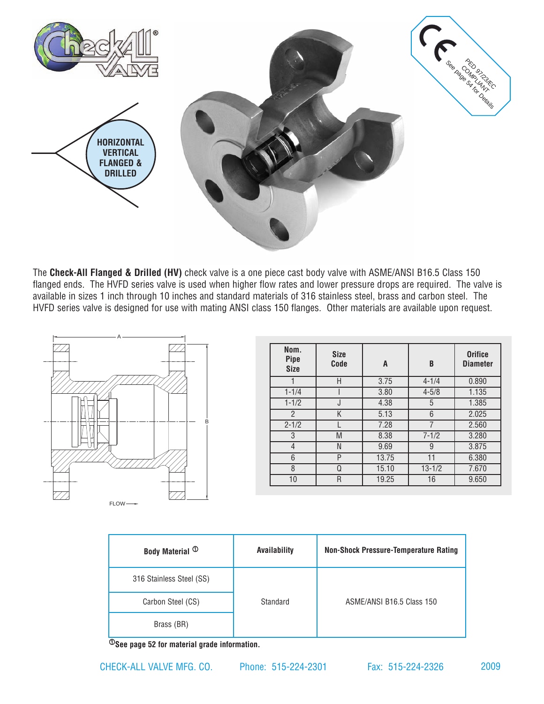

The **Check-All Flanged & Drilled (HV)** check valve is a one piece cast body valve with ASME/ANSI B16.5 Class 150 flanged ends. The HVFD series valve is used when higher flow rates and lower pressure drops are required. The valve is available in sizes 1 inch through 10 inches and standard materials of 316 stainless steel, brass and carbon steel. The HVFD series valve is designed for use with mating ANSI class 150 flanges. Other materials are available upon request.



| Nom.<br><b>Pipe</b><br><b>Size</b> | <b>Size</b><br>Code | A     | B          | <b>Orifice</b><br><b>Diameter</b> |
|------------------------------------|---------------------|-------|------------|-----------------------------------|
|                                    | Н                   | 3.75  | $4 - 1/4$  | 0.890                             |
| $1 - 1/4$                          |                     | 3.80  | $4 - 5/8$  | 1.135                             |
| $1 - 1/2$                          | J                   | 4.38  | 5          | 1.385                             |
| $\overline{2}$                     | Κ                   | 5.13  | 6          | 2.025                             |
| $2 - 1/2$                          |                     | 7.28  | 7          | 2.560                             |
| 3                                  | M                   | 8.38  | $7 - 1/2$  | 3.280                             |
| 4                                  | N                   | 9.69  | 9          | 3.875                             |
| 6                                  | P                   | 13.75 | 11         | 6.380                             |
| 8                                  | Q                   | 15.10 | $13 - 1/2$ | 7.670                             |
| 10                                 | R                   | 19.25 | 16         | 9.650                             |

| Body Material <sup>1</sup> | Availability | <b>Non-Shock Pressure-Temperature Rating</b> |  |
|----------------------------|--------------|----------------------------------------------|--|
| 316 Stainless Steel (SS)   | Standard     |                                              |  |
| Carbon Steel (CS)          |              | ASME/ANSI B16.5 Class 150                    |  |
| Brass (BR)                 |              |                                              |  |

1**See [page 52](http://checkall.com/PDFfiles/material_definition_for_Check-All_Valve_products.pdf) for material grade information.**